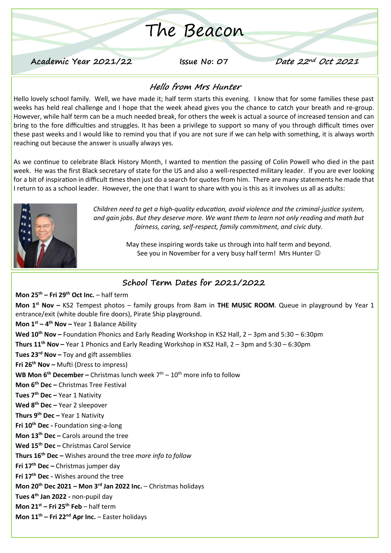# The Beacon

**Academic Year 2021/22 Issue No: 07 Date 22nd Oct <sup>2021</sup>**

#### **Hello from Mrs Hunter**

Hello lovely school family. Well, we have made it; half term starts this evening. I know that for some families these past weeks has held real challenge and I hope that the week ahead gives you the chance to catch your breath and re-group. However, while half term can be a much needed break, for others the week is actual a source of increased tension and can bring to the fore difficulties and struggles. It has been a privilege to support so many of you through difficult times over these past weeks and I would like to remind you that if you are not sure if we can help with something, it is always worth reaching out because the answer is usually always yes.

As we continue to celebrate Black History Month, I wanted to mention the passing of Colin Powell who died in the past week. He was the first Black secretary of state for the US and also a well-respected military leader. If you are ever looking for a bit of inspiration in difficult times then just do a search for quotes from him. There are many statements he made that I return to as a school leader. However, the one that I want to share with you is this as it involves us all as adults:



*Children need to get a high-quality education, avoid violence and the criminal-justice system, and gain jobs. But they deserve more. We want them to learn not only reading and math but fairness, caring, self-respect, family commitment, and civic duty.*

> May these inspiring words take us through into half term and beyond. See you in November for a very busy half term! Mrs Hunter  $\odot$

#### **School Term Dates for 2021/2022**

**Mon 25th – Fri 29th Oct Inc.** – half term **Mon 1st Nov –** KS2 Tempest photos – family groups from 8am in **THE MUSIC ROOM**. Queue in playground by Year 1 entrance/exit (white double fire doors), Pirate Ship playground. **Mon 1st – 4 th Nov –** Year 1 Balance Ability **Wed 10th Nov –** Foundation Phonics and Early Reading Workshop in KS2 Hall, 2 – 3pm and 5:30 – 6:30pm **Thurs 11th Nov –** Year 1 Phonics and Early Reading Workshop in KS2 Hall, 2 – 3pm and 5:30 – 6:30pm **Tues 23rd Nov –** Toy and gift assemblies **Fri 26th Nov –** Mufti (Dress to impress) **WB Mon 6<sup>th</sup> December –** Christmas lunch week 7<sup>th</sup> – 10<sup>th</sup> more info to follow **Mon 6th Dec –** Christmas Tree Festival **Tues 7 th Dec –** Year 1 Nativity **Wed 8th Dec –** Year 2 sleepover **Thurs 9th Dec –** Year 1 Nativity **Fri 10th Dec -** Foundation sing-a-long **Mon 13th Dec –** Carols around the tree **Wed 15th Dec –** Christmas Carol Service **Thurs 16th Dec –** Wishes around the tree *more info to follow* **Fri 17th Dec –** Christmas jumper day **Fri 17th Dec -** Wishes around the tree **Mon 20th Dec 2021 – Mon 3rd Jan 2022 Inc.** – Christmas holidays **Tues 4th Jan 2022 -** non-pupil day **Mon 21st – Fri 25th Feb** – half term **Mon 11th – Fri 22nd Apr Inc.** – Easter holidays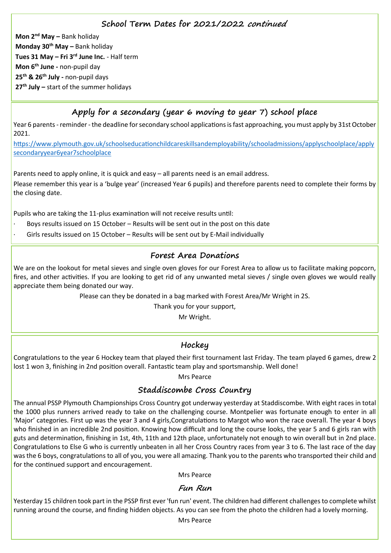#### **School Term Dates for 2021/2022 continued**

**Mon 2nd May –** Bank holiday **Monday 30th May –** Bank holiday **Tues 31 May – Fri 3rd June Inc.** - Half term **Mon 6th June -** non-pupil day **25th & 26th July -** non-pupil days **27th July –** start of the summer holidays

## **Apply for a secondary (year 6 moving to year 7) school place**

Year 6 parents - reminder - the deadline for secondary school applications is fast approaching, you must apply by 31st October 2021.

[https://www.plymouth.gov.uk/schoolseducationchildcareskillsandemployability/schooladmissions/applyschoolplace/apply](https://www.plymouth.gov.uk/schoolseducationchildcareskillsandemployability/schooladmissions/applyschoolplace/applysecondaryyear6year7schoolplace) [secondaryyear6year7schoolplace](https://www.plymouth.gov.uk/schoolseducationchildcareskillsandemployability/schooladmissions/applyschoolplace/applysecondaryyear6year7schoolplace)

Parents need to apply online, it is quick and easy – all parents need is an email address. Please remember this year is a 'bulge year' (increased Year 6 pupils) and therefore parents need to complete their forms by the closing date.

Pupils who are taking the 11-plus examination will not receive results until:

- Boys results issued on 15 October Results will be sent out in the post on this date
- Girls results issued on 15 October Results will be sent out by E-Mail individually

#### **Forest Area Donations**

We are on the lookout for metal sieves and single oven gloves for our Forest Area to allow us to facilitate making popcorn, fires, and other activities. If you are looking to get rid of any unwanted metal sieves / single oven gloves we would really appreciate them being donated our way.

Please can they be donated in a bag marked with Forest Area/Mr Wright in 2S.

Thank you for your support,

Mr Wright.

#### **Hockey**

Congratulations to the year 6 Hockey team that played their first tournament last Friday. The team played 6 games, drew 2 lost 1 won 3, finishing in 2nd position overall. Fantastic team play and sportsmanship. Well done!

Mrs Pearce

#### **Staddiscombe Cross Country**

The annual PSSP Plymouth Championships Cross Country got underway yesterday at Staddiscombe. With eight races in total the 1000 plus runners arrived ready to take on the challenging course. Montpelier was fortunate enough to enter in all 'Major' categories. First up was the year 3 and 4 girls,Congratulations to Margot who won the race overall. The year 4 boys who finished in an incredible 2nd position. Knowing how difficult and long the course looks, the year 5 and 6 girls ran with guts and determination, finishing in 1st, 4th, 11th and 12th place, unfortunately not enough to win overall but in 2nd place. Congratulations to Else G who is currently unbeaten in all her Cross Country races from year 3 to 6. The last race of the day was the 6 boys, congratulations to all of you, you were all amazing. Thank you to the parents who transported their child and for the continued support and encouragement.

Mrs Pearce

#### **Fun Run**

Yesterday 15 children took part in the PSSP first ever 'fun run' event. The children had different challenges to complete whilst running around the course, and finding hidden objects. As you can see from the photo the children had a lovely morning.

Mrs Pearce